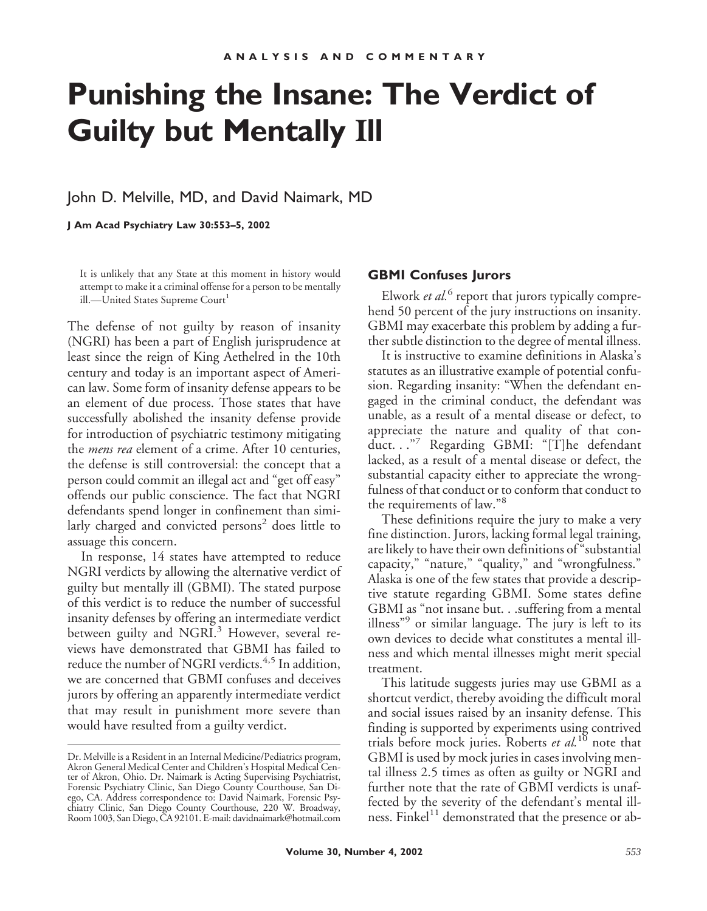# **Punishing the Insane: The Verdict of Guilty but Mentally Ill**

### John D. Melville, MD, and David Naimark, MD

**J Am Acad Psychiatry Law 30:553–5, 2002**

It is unlikely that any State at this moment in history would attempt to make it a criminal offense for a person to be mentally ill.—United States Supreme Court<sup>1</sup>

The defense of not guilty by reason of insanity (NGRI) has been a part of English jurisprudence at least since the reign of King Aethelred in the 10th century and today is an important aspect of American law. Some form of insanity defense appears to be an element of due process. Those states that have successfully abolished the insanity defense provide for introduction of psychiatric testimony mitigating the *mens rea* element of a crime. After 10 centuries, the defense is still controversial: the concept that a person could commit an illegal act and "get off easy" offends our public conscience. The fact that NGRI defendants spend longer in confinement than similarly charged and convicted persons $2$  does little to assuage this concern.

In response, 14 states have attempted to reduce NGRI verdicts by allowing the alternative verdict of guilty but mentally ill (GBMI). The stated purpose of this verdict is to reduce the number of successful insanity defenses by offering an intermediate verdict between guilty and NGRI.<sup>3</sup> However, several reviews have demonstrated that GBMI has failed to reduce the number of NGRI verdicts.<sup>4,5</sup> In addition, we are concerned that GBMI confuses and deceives jurors by offering an apparently intermediate verdict that may result in punishment more severe than would have resulted from a guilty verdict.

#### **GBMI Confuses Jurors**

Elwork *et al.*<sup>6</sup> report that jurors typically comprehend 50 percent of the jury instructions on insanity. GBMI may exacerbate this problem by adding a further subtle distinction to the degree of mental illness.

It is instructive to examine definitions in Alaska's statutes as an illustrative example of potential confusion. Regarding insanity: "When the defendant engaged in the criminal conduct, the defendant was unable, as a result of a mental disease or defect, to appreciate the nature and quality of that conduct. . ."<sup>7</sup> Regarding GBMI: "[T]he defendant lacked, as a result of a mental disease or defect, the substantial capacity either to appreciate the wrongfulness of that conduct or to conform that conduct to the requirements of law."<sup>8</sup>

These definitions require the jury to make a very fine distinction. Jurors, lacking formal legal training, are likely to have their own definitions of "substantial capacity," "nature," "quality," and "wrongfulness." Alaska is one of the few states that provide a descriptive statute regarding GBMI. Some states define GBMI as "not insane but. . .suffering from a mental illness"<sup>9</sup> or similar language. The jury is left to its own devices to decide what constitutes a mental illness and which mental illnesses might merit special treatment.

This latitude suggests juries may use GBMI as a shortcut verdict, thereby avoiding the difficult moral and social issues raised by an insanity defense. This finding is supported by experiments using contrived trials before mock juries. Roberts *et al.*<sup>10</sup> note that GBMI is used by mock juries in cases involving mental illness 2.5 times as often as guilty or NGRI and further note that the rate of GBMI verdicts is unaffected by the severity of the defendant's mental illness. Finkel $11$  demonstrated that the presence or ab-

Dr. Melville is a Resident in an Internal Medicine/Pediatrics program, Akron General Medical Center and Children's Hospital Medical Center of Akron, Ohio. Dr. Naimark is Acting Supervising Psychiatrist, Forensic Psychiatry Clinic, San Diego County Courthouse, San Diego, CA. Address correspondence to: David Naimark, Forensic Psychiatry Clinic, San Diego County Courthouse, 220 W. Broadway, Room 1003, San Diego, CA 92101. E-mail: davidnaimark@hotmail.com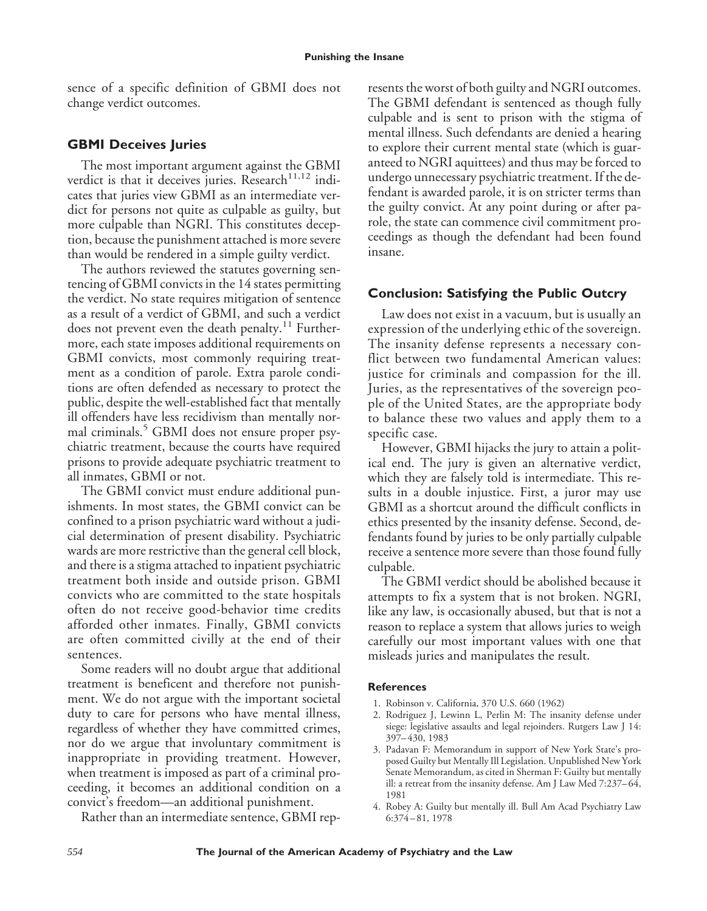sence of a specific definition of GBMI does not change verdict outcomes.

## **GBMI Deceives Juries**

The most important argument against the GBMI verdict is that it deceives juries. Research $^{11,12}$  indicates that juries view GBMI as an intermediate verdict for persons not quite as culpable as guilty, but more culpable than NGRI. This constitutes deception, because the punishment attached is more severe than would be rendered in a simple guilty verdict.

The authors reviewed the statutes governing sentencing of GBMI convicts in the 14 states permitting the verdict. No state requires mitigation of sentence as a result of a verdict of GBMI, and such a verdict does not prevent even the death penalty.<sup>11</sup> Furthermore, each state imposes additional requirements on GBMI convicts, most commonly requiring treatment as a condition of parole. Extra parole conditions are often defended as necessary to protect the public, despite the well-established fact that mentally ill offenders have less recidivism than mentally normal criminals.<sup>5</sup> GBMI does not ensure proper psychiatric treatment, because the courts have required prisons to provide adequate psychiatric treatment to all inmates, GBMI or not.

The GBMI convict must endure additional punishments. In most states, the GBMI convict can be confined to a prison psychiatric ward without a judicial determination of present disability. Psychiatric wards are more restrictive than the general cell block, and there is a stigma attached to inpatient psychiatric treatment both inside and outside prison. GBMI convicts who are committed to the state hospitals often do not receive good-behavior time credits afforded other inmates. Finally, GBMI convicts are often committed civilly at the end of their sentences.

Some readers will no doubt argue that additional treatment is beneficent and therefore not punishment. We do not argue with the important societal duty to care for persons who have mental illness, regardless of whether they have committed crimes, nor do we argue that involuntary commitment is inappropriate in providing treatment. However, when treatment is imposed as part of a criminal proceeding, it becomes an additional condition on a convict's freedom—an additional punishment.

Rather than an intermediate sentence, GBMI rep-

resents the worst of both guilty and NGRI outcomes. The GBMI defendant is sentenced as though fully culpable and is sent to prison with the stigma of mental illness. Such defendants are denied a hearing to explore their current mental state (which is guaranteed to NGRI aquittees) and thus may be forced to undergo unnecessary psychiatric treatment. If the defendant is awarded parole, it is on stricter terms than the guilty convict. At any point during or after parole, the state can commence civil commitment proceedings as though the defendant had been found insane.

## **Conclusion: Satisfying the Public Outcry**

Law does not exist in a vacuum, but is usually an expression of the underlying ethic of the sovereign. The insanity defense represents a necessary conflict between two fundamental American values: justice for criminals and compassion for the ill. Juries, as the representatives of the sovereign people of the United States, are the appropriate body to balance these two values and apply them to a specific case.

However, GBMI hijacks the jury to attain a political end. The jury is given an alternative verdict, which they are falsely told is intermediate. This results in a double injustice. First, a juror may use GBMI as a shortcut around the difficult conflicts in ethics presented by the insanity defense. Second, defendants found by juries to be only partially culpable receive a sentence more severe than those found fully culpable.

The GBMI verdict should be abolished because it attempts to fix a system that is not broken. NGRI, like any law, is occasionally abused, but that is not a reason to replace a system that allows juries to weigh carefully our most important values with one that misleads juries and manipulates the result.

#### **References**

- 1. Robinson v. California, 370 U.S. 660 (1962)
- 2. Rodriguez J, Lewinn L, Perlin M: The insanity defense under siege: legislative assaults and legal rejoinders. Rutgers Law J 14: 397–430, 1983
- 3. Padavan F: Memorandum in support of New York State's proposed Guilty but Mentally Ill Legislation. Unpublished New York Senate Memorandum, as cited in Sherman F: Guilty but mentally ill: a retreat from the insanity defense. Am J Law Med 7:237–64, 1981
- 4. Robey A: Guilty but mentally ill. Bull Am Acad Psychiatry Law 6:374–81, 1978